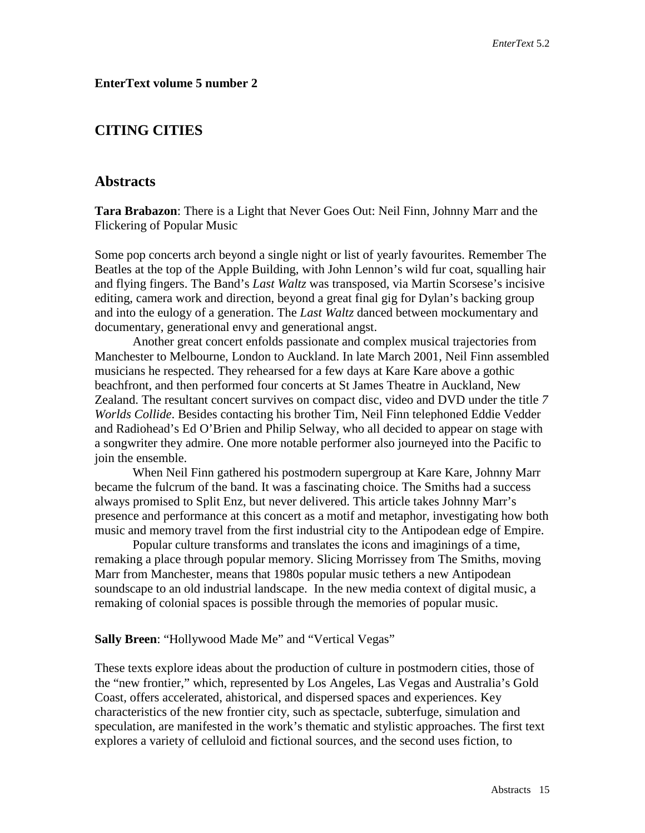# **EnterText volume 5 number 2**

# **CITING CITIES**

# **Abstracts**

**Tara Brabazon**: There is a Light that Never Goes Out: Neil Finn, Johnny Marr and the Flickering of Popular Music

Some pop concerts arch beyond a single night or list of yearly favourites. Remember The Beatles at the top of the Apple Building, with John Lennon's wild fur coat, squalling hair and flying fingers. The Band's *Last Waltz* was transposed, via Martin Scorsese's incisive editing, camera work and direction, beyond a great final gig for Dylan's backing group and into the eulogy of a generation. The *Last Waltz* danced between mockumentary and documentary, generational envy and generational angst.

Another great concert enfolds passionate and complex musical trajectories from Manchester to Melbourne, London to Auckland. In late March 2001, Neil Finn assembled musicians he respected. They rehearsed for a few days at Kare Kare above a gothic beachfront, and then performed four concerts at St James Theatre in Auckland, New Zealand. The resultant concert survives on compact disc, video and DVD under the title *7 Worlds Collide*. Besides contacting his brother Tim, Neil Finn telephoned Eddie Vedder and Radiohead's Ed O'Brien and Philip Selway, who all decided to appear on stage with a songwriter they admire. One more notable performer also journeyed into the Pacific to join the ensemble.

When Neil Finn gathered his postmodern supergroup at Kare Kare, Johnny Marr became the fulcrum of the band. It was a fascinating choice. The Smiths had a success always promised to Split Enz, but never delivered. This article takes Johnny Marr's presence and performance at this concert as a motif and metaphor, investigating how both music and memory travel from the first industrial city to the Antipodean edge of Empire.

Popular culture transforms and translates the icons and imaginings of a time, remaking a place through popular memory. Slicing Morrissey from The Smiths, moving Marr from Manchester, means that 1980s popular music tethers a new Antipodean soundscape to an old industrial landscape. In the new media context of digital music, a remaking of colonial spaces is possible through the memories of popular music.

### **Sally Breen**: "Hollywood Made Me" and "Vertical Vegas"

These texts explore ideas about the production of culture in postmodern cities, those of the "new frontier," which, represented by Los Angeles, Las Vegas and Australia's Gold Coast, offers accelerated, ahistorical, and dispersed spaces and experiences. Key characteristics of the new frontier city, such as spectacle, subterfuge, simulation and speculation, are manifested in the work's thematic and stylistic approaches. The first text explores a variety of celluloid and fictional sources, and the second uses fiction, to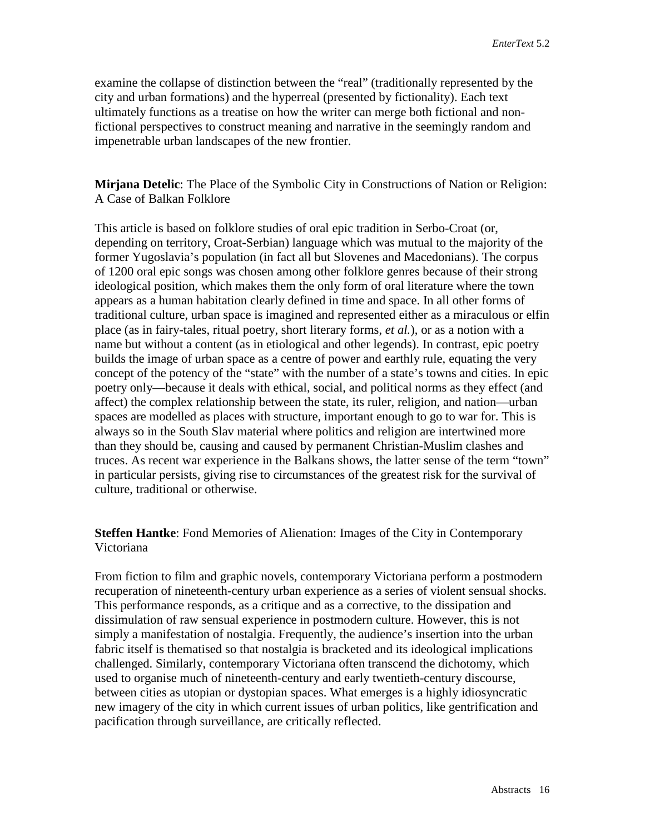examine the collapse of distinction between the "real" (traditionally represented by the city and urban formations) and the hyperreal (presented by fictionality). Each text ultimately functions as a treatise on how the writer can merge both fictional and nonfictional perspectives to construct meaning and narrative in the seemingly random and impenetrable urban landscapes of the new frontier.

**Mirjana Detelic**: The Place of the Symbolic City in Constructions of Nation or Religion: A Case of Balkan Folklore

This article is based on folklore studies of oral epic tradition in Serbo-Croat (or, depending on territory, Croat-Serbian) language which was mutual to the majority of the former Yugoslavia's population (in fact all but Slovenes and Macedonians). The corpus of 1200 oral epic songs was chosen among other folklore genres because of their strong ideological position, which makes them the only form of oral literature where the town appears as a human habitation clearly defined in time and space. In all other forms of traditional culture, urban space is imagined and represented either as a miraculous or elfin place (as in fairy-tales, ritual poetry, short literary forms, *et al.*), or as a notion with a name but without a content (as in etiological and other legends). In contrast, epic poetry builds the image of urban space as a centre of power and earthly rule, equating the very concept of the potency of the "state" with the number of a state's towns and cities. In epic poetry only—because it deals with ethical, social, and political norms as they effect (and affect) the complex relationship between the state, its ruler, religion, and nation—urban spaces are modelled as places with structure, important enough to go to war for. This is always so in the South Slav material where politics and religion are intertwined more than they should be, causing and caused by permanent Christian-Muslim clashes and truces. As recent war experience in the Balkans shows, the latter sense of the term "town" in particular persists, giving rise to circumstances of the greatest risk for the survival of culture, traditional or otherwise.

**Steffen Hantke**: Fond Memories of Alienation: Images of the City in Contemporary Victoriana

From fiction to film and graphic novels, contemporary Victoriana perform a postmodern recuperation of nineteenth-century urban experience as a series of violent sensual shocks. This performance responds, as a critique and as a corrective, to the dissipation and dissimulation of raw sensual experience in postmodern culture. However, this is not simply a manifestation of nostalgia. Frequently, the audience's insertion into the urban fabric itself is thematised so that nostalgia is bracketed and its ideological implications challenged. Similarly, contemporary Victoriana often transcend the dichotomy, which used to organise much of nineteenth-century and early twentieth-century discourse, between cities as utopian or dystopian spaces. What emerges is a highly idiosyncratic new imagery of the city in which current issues of urban politics, like gentrification and pacification through surveillance, are critically reflected.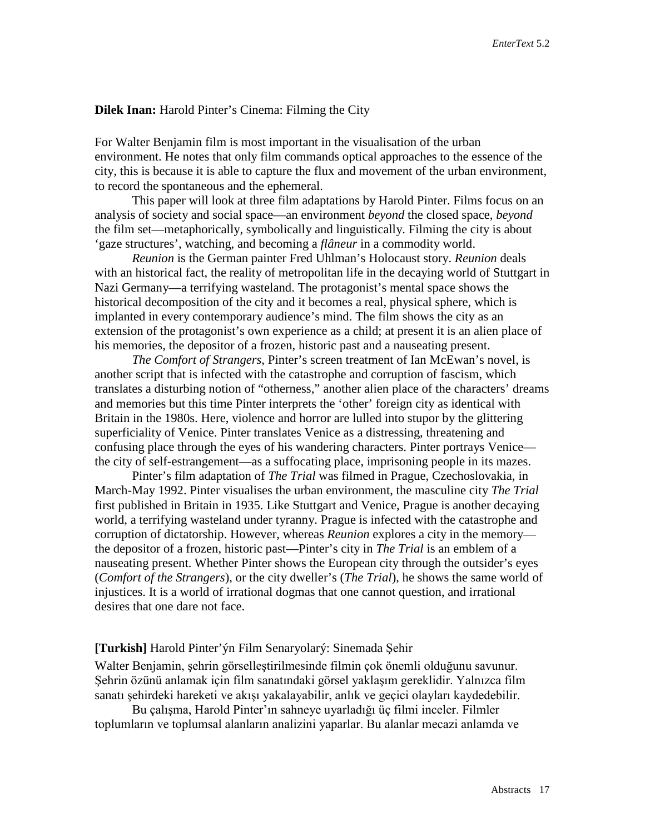### **Dilek Inan:** Harold Pinter's Cinema: Filming the City

For Walter Benjamin film is most important in the visualisation of the urban environment. He notes that only film commands optical approaches to the essence of the city, this is because it is able to capture the flux and movement of the urban environment, to record the spontaneous and the ephemeral.

This paper will look at three film adaptations by Harold Pinter. Films focus on an analysis of society and social space—an environment *beyond* the closed space, *beyond* the film set—metaphorically, symbolically and linguistically. Filming the city is about 'gaze structures', watching, and becoming a *flâneur* in a commodity world.

*Reunion* is the German painter Fred Uhlman's Holocaust story. *Reunion* deals with an historical fact, the reality of metropolitan life in the decaying world of Stuttgart in Nazi Germany—a terrifying wasteland. The protagonist's mental space shows the historical decomposition of the city and it becomes a real, physical sphere, which is implanted in every contemporary audience's mind. The film shows the city as an extension of the protagonist's own experience as a child; at present it is an alien place of his memories, the depositor of a frozen, historic past and a nauseating present.

*The Comfort of Strangers*, Pinter's screen treatment of Ian McEwan's novel, is another script that is infected with the catastrophe and corruption of fascism, which translates a disturbing notion of "otherness," another alien place of the characters' dreams and memories but this time Pinter interprets the 'other' foreign city as identical with Britain in the 1980s. Here, violence and horror are lulled into stupor by the glittering superficiality of Venice. Pinter translates Venice as a distressing, threatening and confusing place through the eyes of his wandering characters. Pinter portrays Venice the city of self-estrangement—as a suffocating place, imprisoning people in its mazes.

Pinter's film adaptation of *The Trial* was filmed in Prague, Czechoslovakia, in March-May 1992. Pinter visualises the urban environment, the masculine city *The Trial* first published in Britain in 1935. Like Stuttgart and Venice, Prague is another decaying world, a terrifying wasteland under tyranny. Prague is infected with the catastrophe and corruption of dictatorship. However, whereas *Reunion* explores a city in the memory the depositor of a frozen, historic past—Pinter's city in *The Trial* is an emblem of a nauseating present. Whether Pinter shows the European city through the outsider's eyes (*Comfort of the Strangers*), or the city dweller's (*The Trial*), he shows the same world of injustices. It is a world of irrational dogmas that one cannot question, and irrational desires that one dare not face.

## **[Turkish]** Harold Pinter'ýn Film Senaryolarý: Sinemada Şehir

Walter Benjamin, şehrin görselleştirilmesinde filmin çok önemli olduğunu savunur. Şehrin özünü anlamak için film sanatındaki görsel yaklaşım gereklidir. Yalnızca film sanatı şehirdeki hareketi ve akışı yakalayabilir, anlık ve geçici olayları kaydedebilir.

Bu çalışma, Harold Pinter'ın sahneye uyarladığı üç filmi inceler. Filmler toplumların ve toplumsal alanların analizini yaparlar. Bu alanlar mecazi anlamda ve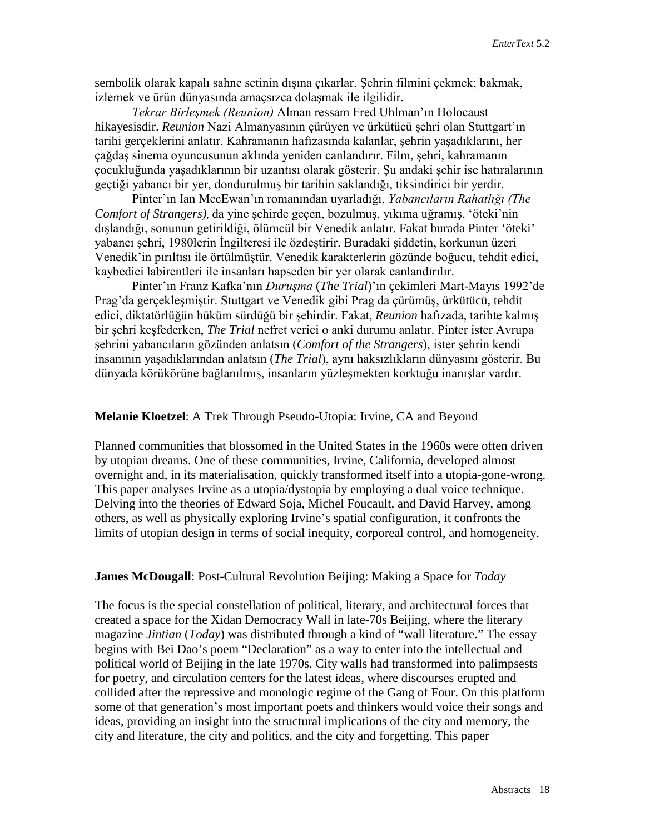sembolik olarak kapalı sahne setinin dışına çıkarlar. Şehrin filmini çekmek; bakmak, izlemek ve ürün dünyasında amaçsızca dolaşmak ile ilgilidir.

*Tekrar Birleşmek (Reunion)* Alman ressam Fred Uhlman'ın Holocaust hikayesisdir. *Reunion* Nazi Almanyasının çürüyen ve ürkütücü şehri olan Stuttgart'ın tarihi gerçeklerini anlatır. Kahramanın hafızasında kalanlar, şehrin yaşadıklarını, her çağdaş sinema oyuncusunun aklında yeniden canlandırır. Film, şehri, kahramanın çocukluğunda yaşadıklarının bir uzantısı olarak gösterir. Şu andaki şehir ise hatıralarının geçtiği yabancı bir yer, dondurulmuş bir tarihin saklandığı, tiksindirici bir yerdir.

Pinter'ın Ian MecEwan'ın romanından uyarladığı, *Yabancıların Rahatlığı (The Comfort of Strangers)*, da yine şehirde geçen, bozulmuş, yıkıma uğramış, 'öteki'nin dışlandığı, sonunun getirildiği, ölümcül bir Venedik anlatır. Fakat burada Pinter 'öteki' yabancı şehri, 1980lerin İngilteresi ile özdeştirir. Buradaki şiddetin, korkunun üzeri Venedik'in pırıltısı ile örtülmüştür. Venedik karakterlerin gözünde boğucu, tehdit edici, kaybedici labirentleri ile insanları hapseden bir yer olarak canlandırılır.

Pinter'ın Franz Kafka'nın *Duruşma* (*The Trial*)'ın çekimleri Mart-Mayıs 1992'de Prag'da gerçekleşmiştir. Stuttgart ve Venedik gibi Prag da çürümüş, ürkütücü, tehdit edici, diktatörlüğün hüküm sürdüğü bir şehirdir. Fakat, *Reunion* hafızada, tarihte kalmış bir şehri keşfederken, *The Trial* nefret verici o anki durumu anlatır. Pinter ister Avrupa şehrini yabancıların gözünden anlatsın (*Comfort of the Strangers*), ister şehrin kendi insanının yaşadıklarından anlatsın (*The Trial*), aynı haksızlıkların dünyasını gösterir. Bu dünyada körükörüne bağlanılmış, insanların yüzleşmekten korktuğu inanışlar vardır.

#### **Melanie Kloetzel**: A Trek Through Pseudo-Utopia: Irvine, CA and Beyond

Planned communities that blossomed in the United States in the 1960s were often driven by utopian dreams. One of these communities, Irvine, California, developed almost overnight and, in its materialisation, quickly transformed itself into a utopia-gone-wrong. This paper analyses Irvine as a utopia/dystopia by employing a dual voice technique. Delving into the theories of Edward Soja, Michel Foucault, and David Harvey, among others, as well as physically exploring Irvine's spatial configuration, it confronts the limits of utopian design in terms of social inequity, corporeal control, and homogeneity.

### **James McDougall**: Post-Cultural Revolution Beijing: Making a Space for *Today*

The focus is the special constellation of political, literary, and architectural forces that created a space for the Xidan Democracy Wall in late-70s Beijing, where the literary magazine *Jintian* (*Today*) was distributed through a kind of "wall literature." The essay begins with Bei Dao's poem "Declaration" as a way to enter into the intellectual and political world of Beijing in the late 1970s. City walls had transformed into palimpsests for poetry, and circulation centers for the latest ideas, where discourses erupted and collided after the repressive and monologic regime of the Gang of Four. On this platform some of that generation's most important poets and thinkers would voice their songs and ideas, providing an insight into the structural implications of the city and memory, the city and literature, the city and politics, and the city and forgetting. This paper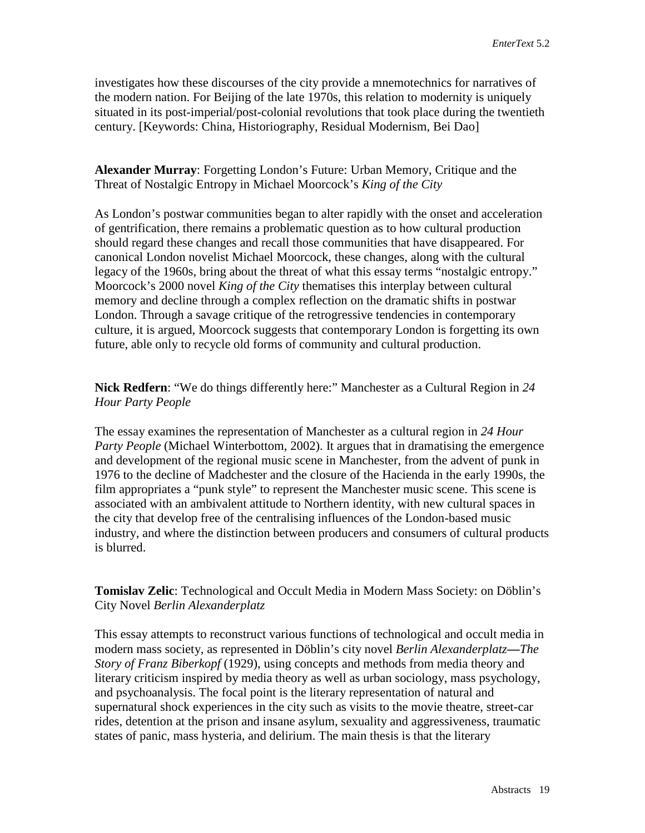investigates how these discourses of the city provide a mnemotechnics for narratives of the modern nation. For Beijing of the late 1970s, this relation to modernity is uniquely situated in its post-imperial/post-colonial revolutions that took place during the twentieth century. [Keywords: China, Historiography, Residual Modernism, Bei Dao]

# **Alexander Murray**: Forgetting London's Future: Urban Memory, Critique and the Threat of Nostalgic Entropy in Michael Moorcock's *King of the City*

As London's postwar communities began to alter rapidly with the onset and acceleration of gentrification, there remains a problematic question as to how cultural production should regard these changes and recall those communities that have disappeared. For canonical London novelist Michael Moorcock, these changes, along with the cultural legacy of the 1960s, bring about the threat of what this essay terms "nostalgic entropy." Moorcock's 2000 novel *King of the City* thematises this interplay between cultural memory and decline through a complex reflection on the dramatic shifts in postwar London. Through a savage critique of the retrogressive tendencies in contemporary culture, it is argued, Moorcock suggests that contemporary London is forgetting its own future, able only to recycle old forms of community and cultural production.

**Nick Redfern**: "We do things differently here:" Manchester as a Cultural Region in *24 Hour Party People*

The essay examines the representation of Manchester as a cultural region in *24 Hour Party People* (Michael Winterbottom, 2002). It argues that in dramatising the emergence and development of the regional music scene in Manchester, from the advent of punk in 1976 to the decline of Madchester and the closure of the Hacienda in the early 1990s, the film appropriates a "punk style" to represent the Manchester music scene. This scene is associated with an ambivalent attitude to Northern identity, with new cultural spaces in the city that develop free of the centralising influences of the London-based music industry, and where the distinction between producers and consumers of cultural products is blurred.

**Tomislav Zelic**: Technological and Occult Media in Modern Mass Society: on Döblin's City Novel *Berlin Alexanderplatz*

This essay attempts to reconstruct various functions of technological and occult media in modern mass society, as represented in Döblin's city novel *Berlin Alexanderplatz***—***The Story of Franz Biberkopf* (1929), using concepts and methods from media theory and literary criticism inspired by media theory as well as urban sociology, mass psychology, and psychoanalysis. The focal point is the literary representation of natural and supernatural shock experiences in the city such as visits to the movie theatre, street-car rides, detention at the prison and insane asylum, sexuality and aggressiveness, traumatic states of panic, mass hysteria, and delirium. The main thesis is that the literary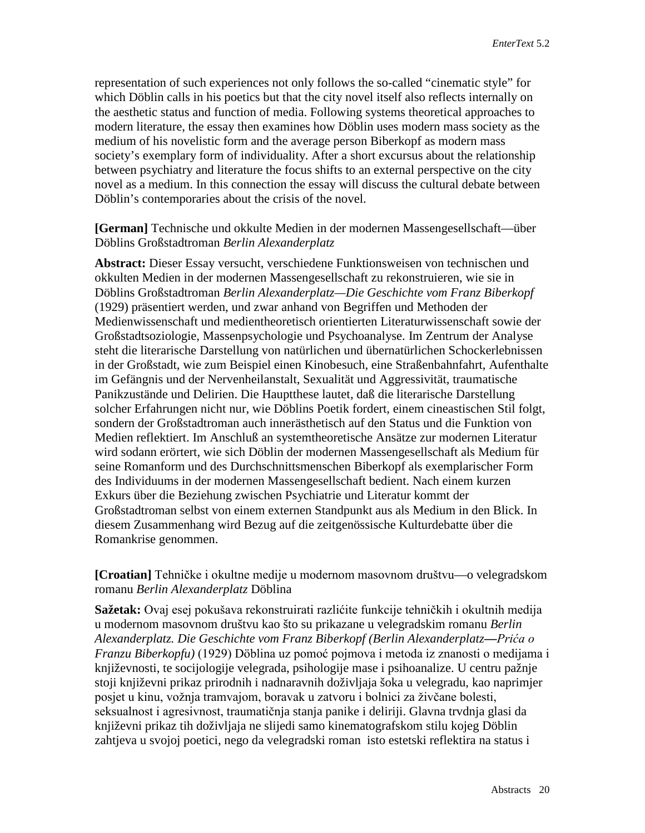representation of such experiences not only follows the so-called "cinematic style" for which Döblin calls in his poetics but that the city novel itself also reflects internally on the aesthetic status and function of media. Following systems theoretical approaches to modern literature, the essay then examines how Döblin uses modern mass society as the medium of his novelistic form and the average person Biberkopf as modern mass society's exemplary form of individuality. After a short excursus about the relationship between psychiatry and literature the focus shifts to an external perspective on the city novel as a medium. In this connection the essay will discuss the cultural debate between Döblin's contemporaries about the crisis of the novel.

**[German]** Technische und okkulte Medien in der modernen Massengesellschaft—über Döblins Großstadtroman *Berlin Alexanderplatz*

**Abstract:** Dieser Essay versucht, verschiedene Funktionsweisen von technischen und okkulten Medien in der modernen Massengesellschaft zu rekonstruieren, wie sie in Döblins Großstadtroman *Berlin Alexanderplatz—Die Geschichte vom Franz Biberkopf* (1929) präsentiert werden, und zwar anhand von Begriffen und Methoden der Medienwissenschaft und medientheoretisch orientierten Literaturwissenschaft sowie der Großstadtsoziologie, Massenpsychologie und Psychoanalyse. Im Zentrum der Analyse steht die literarische Darstellung von natürlichen und übernatürlichen Schockerlebnissen in der Großstadt, wie zum Beispiel einen Kinobesuch, eine Straßenbahnfahrt, Aufenthalte im Gefängnis und der Nervenheilanstalt, Sexualität und Aggressivität, traumatische Panikzustände und Delirien. Die Hauptthese lautet, daß die literarische Darstellung solcher Erfahrungen nicht nur, wie Döblins Poetik fordert, einem cineastischen Stil folgt, sondern der Großstadtroman auch innerästhetisch auf den Status und die Funktion von Medien reflektiert. Im Anschluß an systemtheoretische Ansätze zur modernen Literatur wird sodann erörtert, wie sich Döblin der modernen Massengesellschaft als Medium für seine Romanform und des Durchschnittsmenschen Biberkopf als exemplarischer Form des Individuums in der modernen Massengesellschaft bedient. Nach einem kurzen Exkurs über die Beziehung zwischen Psychiatrie und Literatur kommt der Großstadtroman selbst von einem externen Standpunkt aus als Medium in den Blick. In diesem Zusammenhang wird Bezug auf die zeitgenössische Kulturdebatte über die Romankrise genommen.

**[Croatian]** Tehničke i okultne medije u modernom masovnom društvu—o velegradskom romanu *Berlin Alexanderplatz* Döblina

**Sažetak:** Ovaj esej pokušava rekonstruirati razlićite funkcije tehničkih i okultnih medija u modernom masovnom društvu kao što su prikazane u velegradskim romanu *Berlin Alexanderplatz. Die Geschichte vom Franz Biberkopf (Berlin Alexanderplatz***—***Prića o Franzu Biberkopfu)* (1929) Döblina uz pomoć pojmova i metoda iz znanosti o medijama i književnosti, te socijologije velegrada, psihologije mase i psihoanalize. U centru pažnje stoji književni prikaz prirodnih i nadnaravnih doživljaja šoka u velegradu, kao naprimjer posjet u kinu, vožnja tramvajom, boravak u zatvoru i bolnici za živčane bolesti, seksualnost i agresivnost, traumatičnja stanja panike i deliriji. Glavna trvdnja glasi da književni prikaz tih doživljaja ne slijedi samo kinematografskom stilu kojeg Döblin zahtjeva u svojoj poetici, nego da velegradski roman isto estetski reflektira na status i